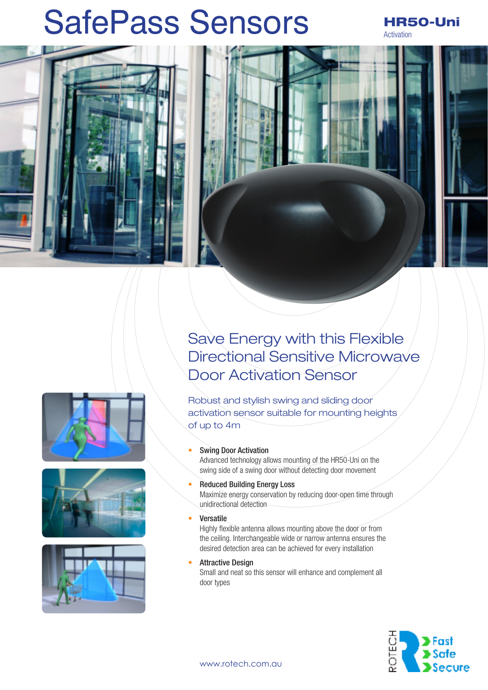# SafePass Sensors HR50-Uni

Activation





Robust and stylish swing and sliding door activation sensor suitable for mounting heights of up to 4m

## • Swing Door Activation

Advanced technology allows mounting of the HR50-Uni on the swing side of a swing door without detecting door movement

- Reduced Building Energy Loss Maximize energy conservation by reducing door-open time through unidirectional detection
- **Versatile**

Highly flexible antenna allows mounting above the door or from the ceiling. Interchangeable wide or narrow antenna ensures the desired detection area can be achieved for every installation

**Attractive Design** 

Small and neat so this sensor will enhance and complement all door types